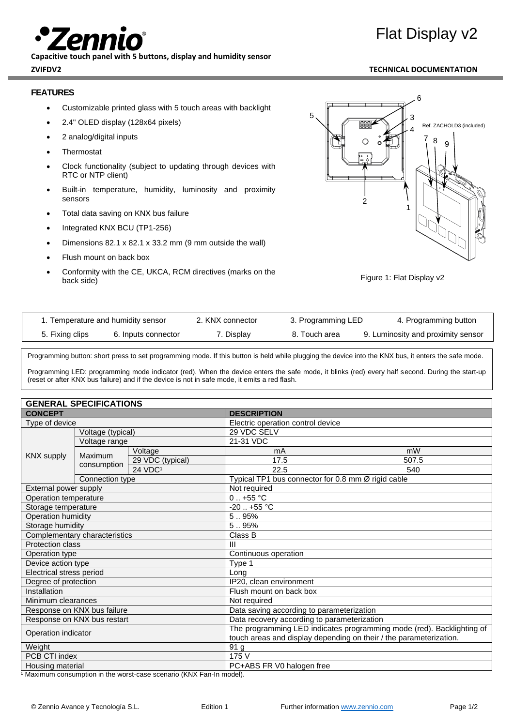**Capacitive touch panel with 5 buttons, display and humidity sensor**

# Flat Display v2

# **ZVIFDV2 TECHNICAL DOCUMENTATION**

# **FEATURES**

- Customizable printed glass with 5 touch areas with backlight
- 2.4'' OLED display (128x64 pixels)
- 2 analog/digital inputs
- **Thermostat**
- Clock functionality (subject to updating through devices with RTC or NTP client)
- Built-in temperature, humidity, luminosity and proximity sensors
- Total data saving on KNX bus failure
- Integrated KNX BCU (TP1-256)
- Dimensions 82.1 x 82.1 x 33.2 mm (9 mm outside the wall)
- Flush mount on back box
- Conformity with the CE, UKCA, RCM directives (marks on the back side)





| 1. Temperature and humidity sensor |                     | 2. KNX connector | 3. Programming LED | 4. Programming button              |
|------------------------------------|---------------------|------------------|--------------------|------------------------------------|
| 5. Fixing clips                    | 6. Inputs connector | 7. Display       | 8. Touch area      | 9. Luminosity and proximity sensor |

Programming button: short press to set programming mode. If this button is held while plugging the device into the KNX bus, it enters the safe mode.

Programming LED: programming mode indicator (red). When the device enters the safe mode, it blinks (red) every half second. During the start-up (reset or after KNX bus failure) and if the device is not in safe mode, it emits a red flash.

| <b>GENERAL SPECIFICATIONS</b> |                   |                                                                       |                                                    |               |  |
|-------------------------------|-------------------|-----------------------------------------------------------------------|----------------------------------------------------|---------------|--|
| <b>CONCEPT</b>                |                   | <b>DESCRIPTION</b>                                                    |                                                    |               |  |
| Type of device                |                   | Electric operation control device                                     |                                                    |               |  |
| <b>KNX supply</b>             | Voltage (typical) |                                                                       | 29 VDC SELV                                        |               |  |
|                               | Voltage range     |                                                                       | 21-31 VDC                                          |               |  |
|                               | Maximum           | Voltage                                                               | mA                                                 | mW            |  |
|                               | consumption       | 29 VDC (typical)                                                      | 17.5                                               | 507.5         |  |
|                               |                   | 24 VDC <sup>1</sup>                                                   | 22.5                                               | 540           |  |
|                               | Connection type   |                                                                       | Typical TP1 bus connector for 0.8 mm Ø rigid cable |               |  |
| External power supply         |                   |                                                                       | Not required                                       |               |  |
| Operation temperature         |                   |                                                                       |                                                    | $0.1 + 55$ °C |  |
| Storage temperature           |                   |                                                                       | $-20$ $+55$ °C                                     |               |  |
| Operation humidity            |                   |                                                                       | 5.95%                                              |               |  |
| Storage humidity              |                   |                                                                       | 5.95%                                              |               |  |
| Complementary characteristics |                   |                                                                       | Class B                                            |               |  |
| <b>Protection class</b>       |                   |                                                                       | $\mathbf{III}$                                     |               |  |
| Operation type                |                   |                                                                       | Continuous operation                               |               |  |
| Device action type            |                   |                                                                       | Type 1                                             |               |  |
| Electrical stress period      |                   |                                                                       | Long                                               |               |  |
| Degree of protection          |                   | IP20, clean environment                                               |                                                    |               |  |
| Installation                  |                   | Flush mount on back box                                               |                                                    |               |  |
| Minimum clearances            |                   | Not required                                                          |                                                    |               |  |
| Response on KNX bus failure   |                   | Data saving according to parameterization                             |                                                    |               |  |
| Response on KNX bus restart   |                   | Data recovery according to parameterization                           |                                                    |               |  |
| Operation indicator           |                   | The programming LED indicates programming mode (red). Backlighting of |                                                    |               |  |
|                               |                   | touch areas and display depending on their / the parameterization.    |                                                    |               |  |
| Weight                        |                   |                                                                       | 91 <sub>g</sub>                                    |               |  |
| PCB CTI index                 |                   |                                                                       | 175 V                                              |               |  |
| Housing material              |                   |                                                                       | PC+ABS FR V0 halogen free                          |               |  |

1 Maximum consumption in the worst-case scenario (KNX Fan-In model).